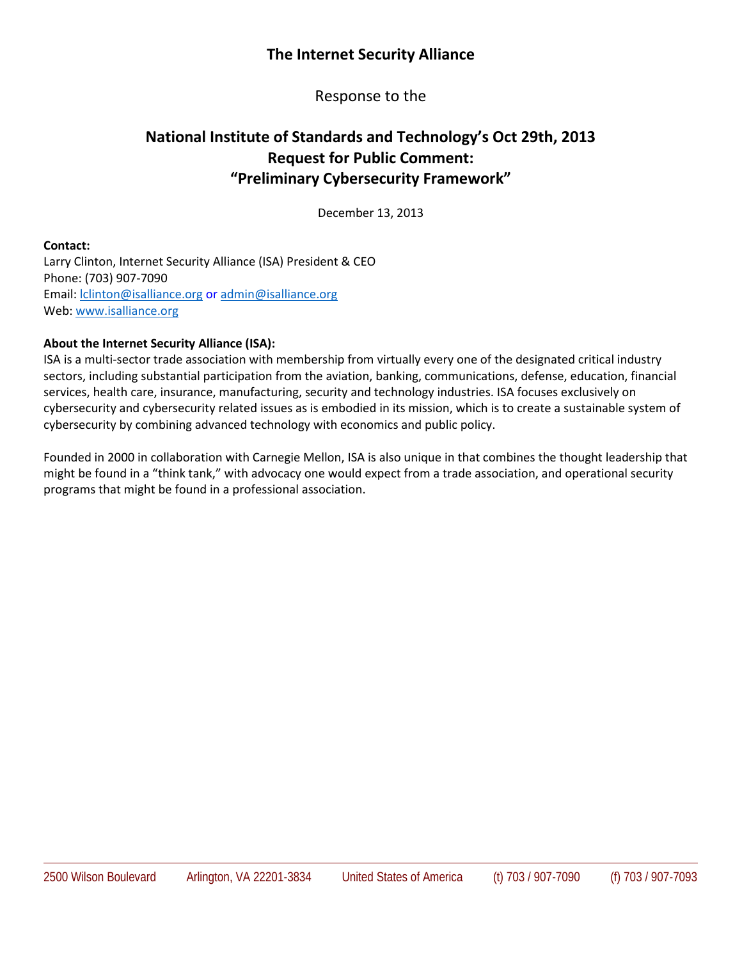# **The Internet Security Alliance**

Response to the

# **National Institute of Standards and Technology's Oct 29th, 2013 Request for Public Comment: "Preliminary Cybersecurity Framework"**

December 13, 2013

#### **Contact:**

Larry Clinton, Internet Security Alliance (ISA) President & CEO Phone: (703) 907-7090 Email: [lclinton@isalliance.org](mailto:lclinton@isalliance.org) or [admin@isalliance.org](mailto:admin@isalliance.org) Web[: www.isalliance.org](http://www.isalliance.org/)

#### **About the Internet Security Alliance (ISA):**

ISA is a multi-sector trade association with membership from virtually every one of the designated critical industry sectors, including substantial participation from the aviation, banking, communications, defense, education, financial services, health care, insurance, manufacturing, security and technology industries. ISA focuses exclusively on cybersecurity and cybersecurity related issues as is embodied in its mission, which is to create a sustainable system of cybersecurity by combining advanced technology with economics and public policy.

Founded in 2000 in collaboration with Carnegie Mellon, ISA is also unique in that combines the thought leadership that might be found in a "think tank," with advocacy one would expect from a trade association, and operational security programs that might be found in a professional association.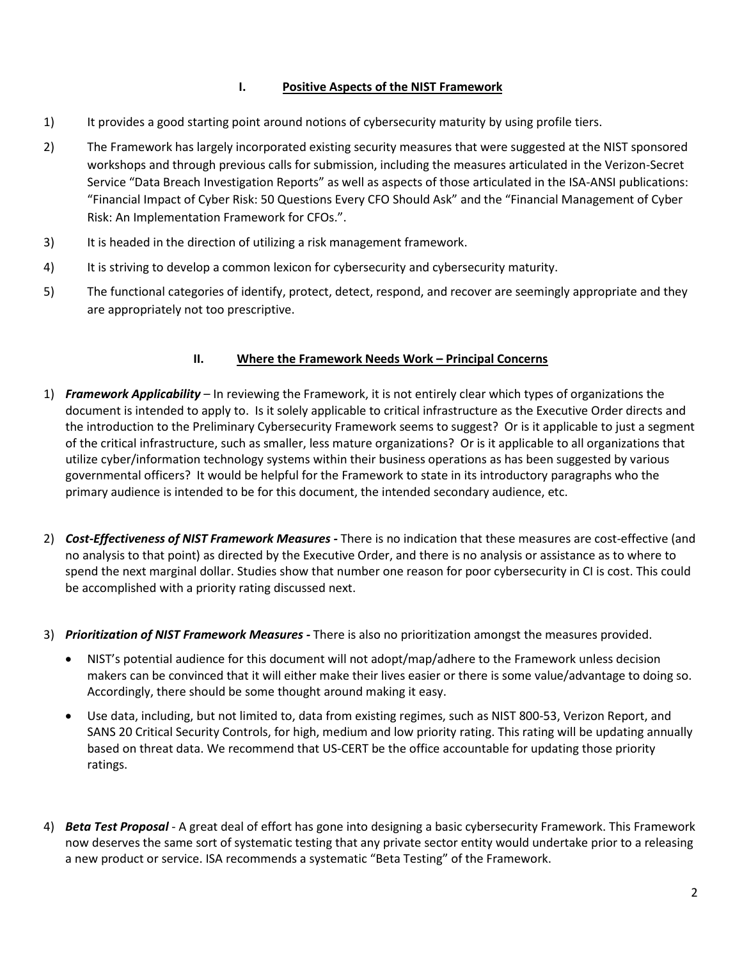## **I. Positive Aspects of the NIST Framework**

- 1) It provides a good starting point around notions of cybersecurity maturity by using profile tiers.
- 2) The Framework has largely incorporated existing security measures that were suggested at the NIST sponsored workshops and through previous calls for submission, including the measures articulated in the Verizon-Secret Service "Data Breach Investigation Reports" as well as aspects of those articulated in the ISA-ANSI publications: "Financial Impact of Cyber Risk: 50 Questions Every CFO Should Ask" and the "Financial Management of Cyber Risk: An Implementation Framework for CFOs.".
- 3) It is headed in the direction of utilizing a risk management framework.
- 4) It is striving to develop a common lexicon for cybersecurity and cybersecurity maturity.
- 5) The functional categories of identify, protect, detect, respond, and recover are seemingly appropriate and they are appropriately not too prescriptive.

## **II. Where the Framework Needs Work – Principal Concerns**

- 1) *Framework Applicability* In reviewing the Framework, it is not entirely clear which types of organizations the document is intended to apply to. Is it solely applicable to critical infrastructure as the Executive Order directs and the introduction to the Preliminary Cybersecurity Framework seems to suggest? Or is it applicable to just a segment of the critical infrastructure, such as smaller, less mature organizations? Or is it applicable to all organizations that utilize cyber/information technology systems within their business operations as has been suggested by various governmental officers? It would be helpful for the Framework to state in its introductory paragraphs who the primary audience is intended to be for this document, the intended secondary audience, etc.
- 2) *Cost-Effectiveness of NIST Framework Measures -* There is no indication that these measures are cost-effective (and no analysis to that point) as directed by the Executive Order, and there is no analysis or assistance as to where to spend the next marginal dollar. Studies show that number one reason for poor cybersecurity in CI is cost. This could be accomplished with a priority rating discussed next.
- 3) *Prioritization of NIST Framework Measures -* There is also no prioritization amongst the measures provided.
	- NIST's potential audience for this document will not adopt/map/adhere to the Framework unless decision makers can be convinced that it will either make their lives easier or there is some value/advantage to doing so. Accordingly, there should be some thought around making it easy.
	- Use data, including, but not limited to, data from existing regimes, such as NIST 800-53, Verizon Report, and SANS 20 Critical Security Controls, for high, medium and low priority rating. This rating will be updating annually based on threat data. We recommend that US-CERT be the office accountable for updating those priority ratings.
- 4) *Beta Test Proposal* A great deal of effort has gone into designing a basic cybersecurity Framework. This Framework now deserves the same sort of systematic testing that any private sector entity would undertake prior to a releasing a new product or service. ISA recommends a systematic "Beta Testing" of the Framework.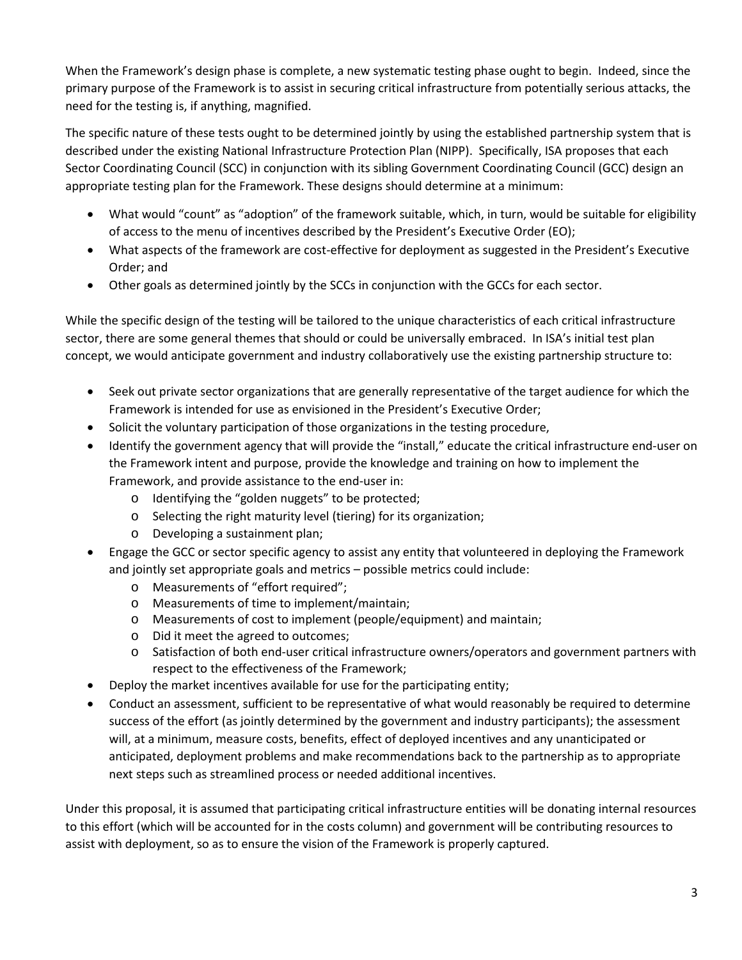When the Framework's design phase is complete, a new systematic testing phase ought to begin. Indeed, since the primary purpose of the Framework is to assist in securing critical infrastructure from potentially serious attacks, the need for the testing is, if anything, magnified.

The specific nature of these tests ought to be determined jointly by using the established partnership system that is described under the existing National Infrastructure Protection Plan (NIPP). Specifically, ISA proposes that each Sector Coordinating Council (SCC) in conjunction with its sibling Government Coordinating Council (GCC) design an appropriate testing plan for the Framework. These designs should determine at a minimum:

- What would "count" as "adoption" of the framework suitable, which, in turn, would be suitable for eligibility of access to the menu of incentives described by the President's Executive Order (EO);
- What aspects of the framework are cost-effective for deployment as suggested in the President's Executive Order; and
- Other goals as determined jointly by the SCCs in conjunction with the GCCs for each sector.

While the specific design of the testing will be tailored to the unique characteristics of each critical infrastructure sector, there are some general themes that should or could be universally embraced. In ISA's initial test plan concept, we would anticipate government and industry collaboratively use the existing partnership structure to:

- Seek out private sector organizations that are generally representative of the target audience for which the Framework is intended for use as envisioned in the President's Executive Order;
- Solicit the voluntary participation of those organizations in the testing procedure,
- Identify the government agency that will provide the "install," educate the critical infrastructure end-user on the Framework intent and purpose, provide the knowledge and training on how to implement the Framework, and provide assistance to the end-user in:
	- o Identifying the "golden nuggets" to be protected;
	- o Selecting the right maturity level (tiering) for its organization;
	- o Developing a sustainment plan;
- Engage the GCC or sector specific agency to assist any entity that volunteered in deploying the Framework and jointly set appropriate goals and metrics – possible metrics could include:
	- o Measurements of "effort required";
	- o Measurements of time to implement/maintain;
	- o Measurements of cost to implement (people/equipment) and maintain;
	- o Did it meet the agreed to outcomes;
	- o Satisfaction of both end-user critical infrastructure owners/operators and government partners with respect to the effectiveness of the Framework;
- Deploy the market incentives available for use for the participating entity;
- Conduct an assessment, sufficient to be representative of what would reasonably be required to determine success of the effort (as jointly determined by the government and industry participants); the assessment will, at a minimum, measure costs, benefits, effect of deployed incentives and any unanticipated or anticipated, deployment problems and make recommendations back to the partnership as to appropriate next steps such as streamlined process or needed additional incentives.

Under this proposal, it is assumed that participating critical infrastructure entities will be donating internal resources to this effort (which will be accounted for in the costs column) and government will be contributing resources to assist with deployment, so as to ensure the vision of the Framework is properly captured.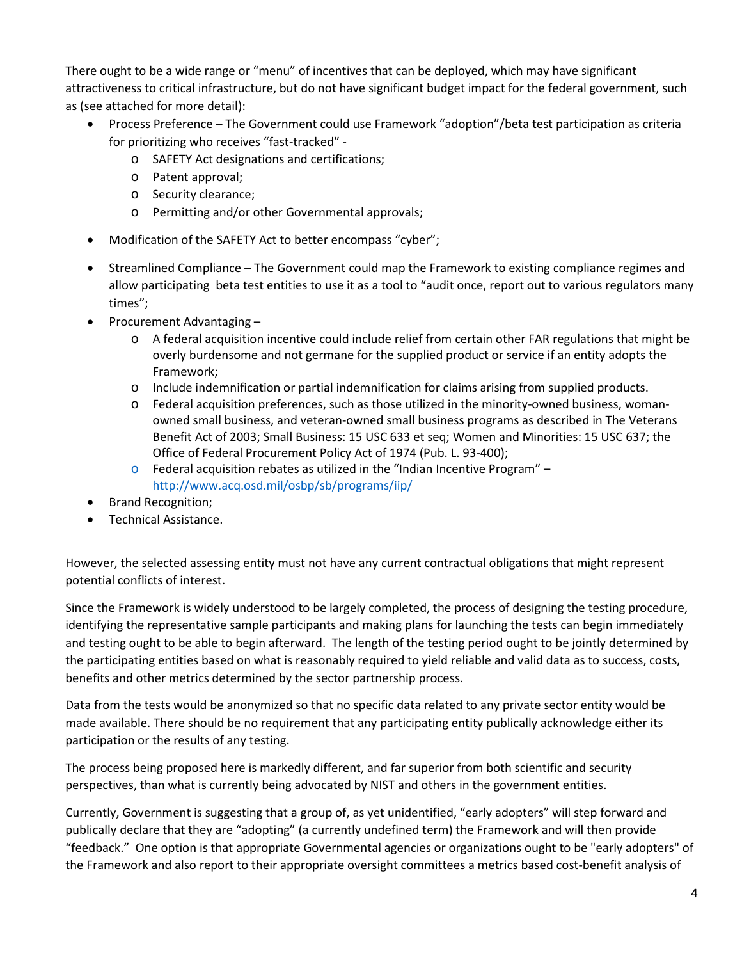There ought to be a wide range or "menu" of incentives that can be deployed, which may have significant attractiveness to critical infrastructure, but do not have significant budget impact for the federal government, such as (see attached for more detail):

- Process Preference The Government could use Framework "adoption"/beta test participation as criteria for prioritizing who receives "fast-tracked"
	- o SAFETY Act designations and certifications;
	- o Patent approval;
	- o Security clearance;
	- o Permitting and/or other Governmental approvals;
- Modification of the SAFETY Act to better encompass "cyber";
- Streamlined Compliance The Government could map the Framework to existing compliance regimes and allow participating beta test entities to use it as a tool to "audit once, report out to various regulators many times";
- Procurement Advantaging
	- o A federal acquisition incentive could include relief from certain other FAR regulations that might be overly burdensome and not germane for the supplied product or service if an entity adopts the Framework;
	- o Include indemnification or partial indemnification for claims arising from supplied products.
	- o Federal acquisition preferences, such as those utilized in the minority-owned business, womanowned small business, and veteran-owned small business programs as described in The Veterans Benefit Act of 2003; Small Business: 15 USC 633 et seq; Women and Minorities: 15 USC 637; the Office of Federal Procurement Policy Act of 1974 (Pub. L. 93-400);
	- $\circ$  Federal acquisition rebates as utilized in the "Indian Incentive Program" <http://www.acq.osd.mil/osbp/sb/programs/iip/>
- Brand Recognition;
- Technical Assistance.

However, the selected assessing entity must not have any current contractual obligations that might represent potential conflicts of interest.

Since the Framework is widely understood to be largely completed, the process of designing the testing procedure, identifying the representative sample participants and making plans for launching the tests can begin immediately and testing ought to be able to begin afterward. The length of the testing period ought to be jointly determined by the participating entities based on what is reasonably required to yield reliable and valid data as to success, costs, benefits and other metrics determined by the sector partnership process.

Data from the tests would be anonymized so that no specific data related to any private sector entity would be made available. There should be no requirement that any participating entity publically acknowledge either its participation or the results of any testing.

The process being proposed here is markedly different, and far superior from both scientific and security perspectives, than what is currently being advocated by NIST and others in the government entities.

Currently, Government is suggesting that a group of, as yet unidentified, "early adopters" will step forward and publically declare that they are "adopting" (a currently undefined term) the Framework and will then provide "feedback." One option is that appropriate Governmental agencies or organizations ought to be "early adopters" of the Framework and also report to their appropriate oversight committees a metrics based cost-benefit analysis of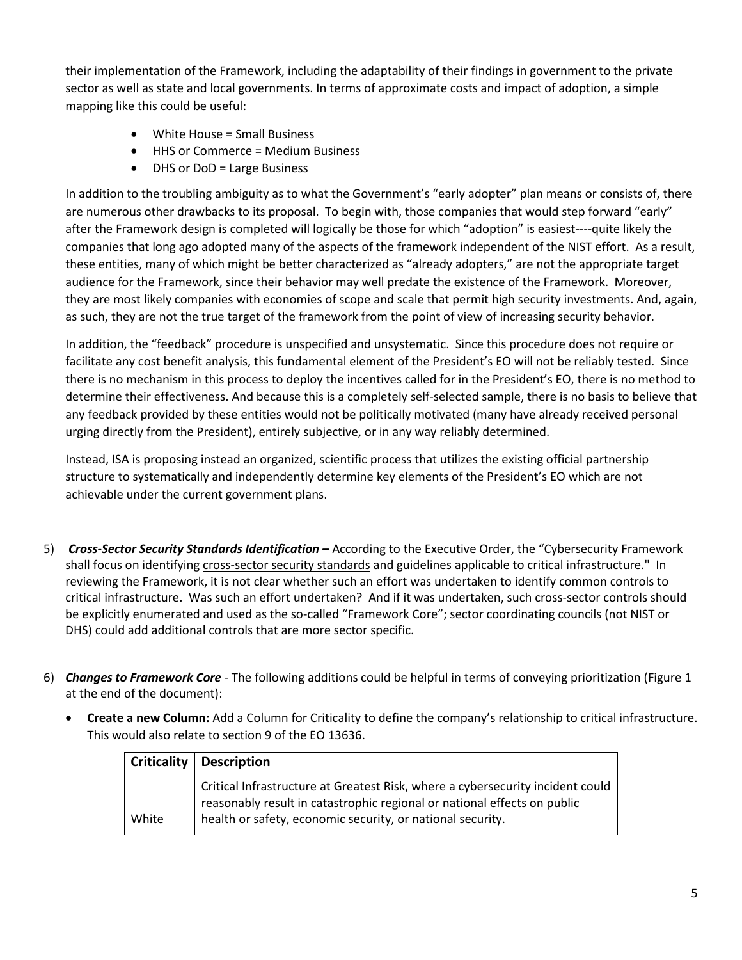their implementation of the Framework, including the adaptability of their findings in government to the private sector as well as state and local governments. In terms of approximate costs and impact of adoption, a simple mapping like this could be useful:

- White House = Small Business
- HHS or Commerce = Medium Business
- DHS or DoD = Large Business

In addition to the troubling ambiguity as to what the Government's "early adopter" plan means or consists of, there are numerous other drawbacks to its proposal. To begin with, those companies that would step forward "early" after the Framework design is completed will logically be those for which "adoption" is easiest----quite likely the companies that long ago adopted many of the aspects of the framework independent of the NIST effort. As a result, these entities, many of which might be better characterized as "already adopters," are not the appropriate target audience for the Framework, since their behavior may well predate the existence of the Framework. Moreover, they are most likely companies with economies of scope and scale that permit high security investments. And, again, as such, they are not the true target of the framework from the point of view of increasing security behavior.

In addition, the "feedback" procedure is unspecified and unsystematic. Since this procedure does not require or facilitate any cost benefit analysis, this fundamental element of the President's EO will not be reliably tested. Since there is no mechanism in this process to deploy the incentives called for in the President's EO, there is no method to determine their effectiveness. And because this is a completely self-selected sample, there is no basis to believe that any feedback provided by these entities would not be politically motivated (many have already received personal urging directly from the President), entirely subjective, or in any way reliably determined.

Instead, ISA is proposing instead an organized, scientific process that utilizes the existing official partnership structure to systematically and independently determine key elements of the President's EO which are not achievable under the current government plans.

- 5) *Cross-Sector Security Standards Identification –* According to the Executive Order, the "Cybersecurity Framework shall focus on identifying cross-sector security standards and guidelines applicable to critical infrastructure." In reviewing the Framework, it is not clear whether such an effort was undertaken to identify common controls to critical infrastructure. Was such an effort undertaken? And if it was undertaken, such cross-sector controls should be explicitly enumerated and used as the so-called "Framework Core"; sector coordinating councils (not NIST or DHS) could add additional controls that are more sector specific.
- 6) *Changes to Framework Core* The following additions could be helpful in terms of conveying prioritization (Figure 1 at the end of the document):
	- **Create a new Column:** Add a Column for Criticality to define the company's relationship to critical infrastructure. This would also relate to section 9 of the EO 13636.

|       | Criticality   Description                                                                                                                                  |
|-------|------------------------------------------------------------------------------------------------------------------------------------------------------------|
|       | Critical Infrastructure at Greatest Risk, where a cybersecurity incident could<br>reasonably result in catastrophic regional or national effects on public |
| White | health or safety, economic security, or national security.                                                                                                 |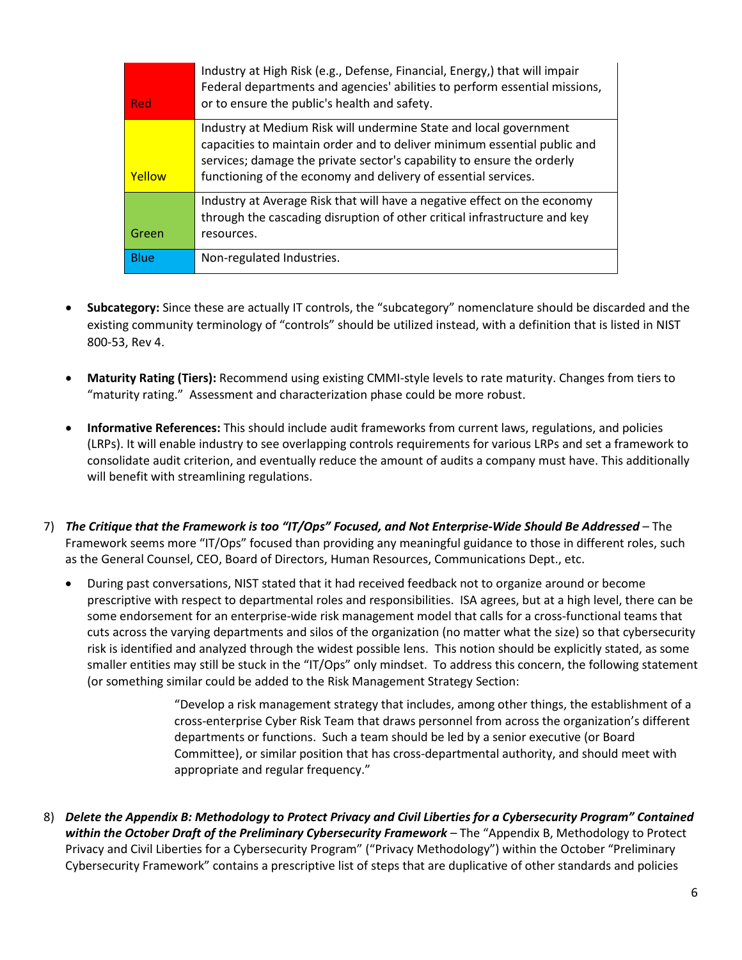| Red           | Industry at High Risk (e.g., Defense, Financial, Energy,) that will impair<br>Federal departments and agencies' abilities to perform essential missions,<br>or to ensure the public's health and safety.                                                                                  |
|---------------|-------------------------------------------------------------------------------------------------------------------------------------------------------------------------------------------------------------------------------------------------------------------------------------------|
| <b>Yellow</b> | Industry at Medium Risk will undermine State and local government<br>capacities to maintain order and to deliver minimum essential public and<br>services; damage the private sector's capability to ensure the orderly<br>functioning of the economy and delivery of essential services. |
| Green         | Industry at Average Risk that will have a negative effect on the economy<br>through the cascading disruption of other critical infrastructure and key<br>resources.                                                                                                                       |
| <b>Blue</b>   | Non-regulated Industries.                                                                                                                                                                                                                                                                 |

- **Subcategory:** Since these are actually IT controls, the "subcategory" nomenclature should be discarded and the existing community terminology of "controls" should be utilized instead, with a definition that is listed in NIST 800-53, Rev 4.
- **Maturity Rating (Tiers):** Recommend using existing CMMI-style levels to rate maturity. Changes from tiers to "maturity rating." Assessment and characterization phase could be more robust.
- **Informative References:** This should include audit frameworks from current laws, regulations, and policies (LRPs). It will enable industry to see overlapping controls requirements for various LRPs and set a framework to consolidate audit criterion, and eventually reduce the amount of audits a company must have. This additionally will benefit with streamlining regulations.
- 7) *The Critique that the Framework is too "IT/Ops" Focused, and Not Enterprise-Wide Should Be Addressed* The Framework seems more "IT/Ops" focused than providing any meaningful guidance to those in different roles, such as the General Counsel, CEO, Board of Directors, Human Resources, Communications Dept., etc.
	- During past conversations, NIST stated that it had received feedback not to organize around or become prescriptive with respect to departmental roles and responsibilities. ISA agrees, but at a high level, there can be some endorsement for an enterprise-wide risk management model that calls for a cross-functional teams that cuts across the varying departments and silos of the organization (no matter what the size) so that cybersecurity risk is identified and analyzed through the widest possible lens. This notion should be explicitly stated, as some smaller entities may still be stuck in the "IT/Ops" only mindset. To address this concern, the following statement (or something similar could be added to the Risk Management Strategy Section:

"Develop a risk management strategy that includes, among other things, the establishment of a cross-enterprise Cyber Risk Team that draws personnel from across the organization's different departments or functions. Such a team should be led by a senior executive (or Board Committee), or similar position that has cross-departmental authority, and should meet with appropriate and regular frequency."

8) *Delete the Appendix B: Methodology to Protect Privacy and Civil Liberties for a Cybersecurity Program" Contained within the October Draft of the Preliminary Cybersecurity Framework* – The "Appendix B, Methodology to Protect Privacy and Civil Liberties for a Cybersecurity Program" ("Privacy Methodology") within the October "Preliminary Cybersecurity Framework" contains a prescriptive list of steps that are duplicative of other standards and policies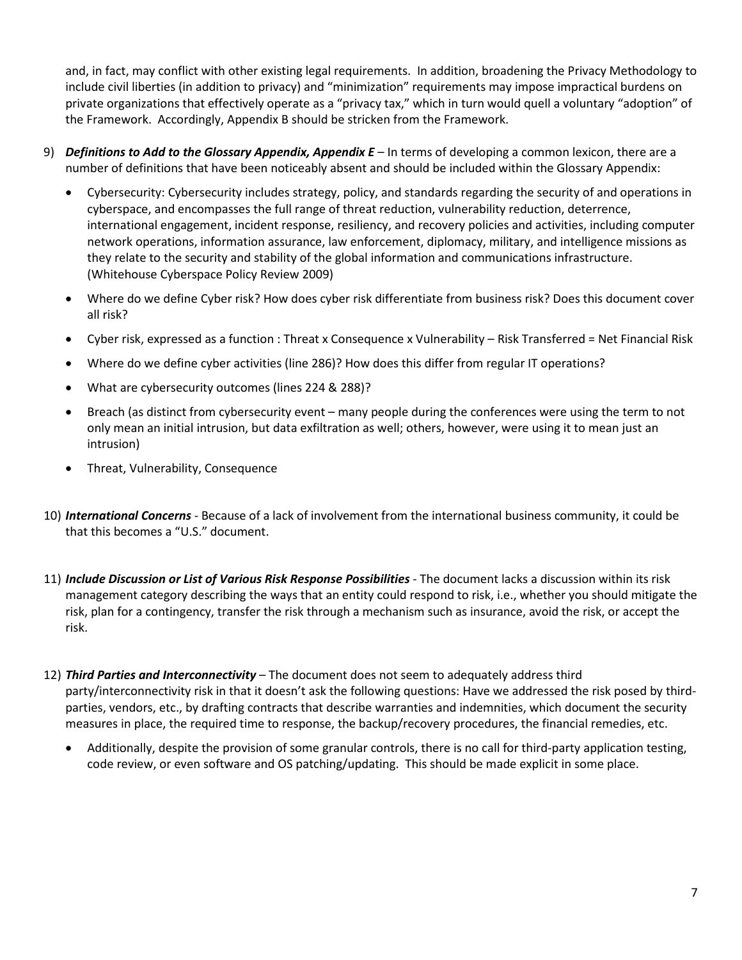and, in fact, may conflict with other existing legal requirements. In addition, broadening the Privacy Methodology to include civil liberties (in addition to privacy) and "minimization" requirements may impose impractical burdens on private organizations that effectively operate as a "privacy tax," which in turn would quell a voluntary "adoption" of the Framework. Accordingly, Appendix B should be stricken from the Framework.

- 9) *Definitions to Add to the Glossary Appendix, Appendix E –* In terms of developing a common lexicon, there are a number of definitions that have been noticeably absent and should be included within the Glossary Appendix:
	- Cybersecurity: Cybersecurity includes strategy, policy, and standards regarding the security of and operations in cyberspace, and encompasses the full range of threat reduction, vulnerability reduction, deterrence, international engagement, incident response, resiliency, and recovery policies and activities, including computer network operations, information assurance, law enforcement, diplomacy, military, and intelligence missions as they relate to the security and stability of the global information and communications infrastructure. (Whitehouse Cyberspace Policy Review 2009)
	- Where do we define Cyber risk? How does cyber risk differentiate from business risk? Does this document cover all risk?
	- Cyber risk, expressed as a function : Threat x Consequence x Vulnerability Risk Transferred = Net Financial Risk
	- Where do we define cyber activities (line 286)? How does this differ from regular IT operations?
	- What are cybersecurity outcomes (lines 224 & 288)?
	- Breach (as distinct from cybersecurity event many people during the conferences were using the term to not only mean an initial intrusion, but data exfiltration as well; others, however, were using it to mean just an intrusion)
	- Threat, Vulnerability, Consequence
- 10) *International Concerns* Because of a lack of involvement from the international business community, it could be that this becomes a "U.S." document.
- 11) *Include Discussion or List of Various Risk Response Possibilities* The document lacks a discussion within its risk management category describing the ways that an entity could respond to risk, i.e., whether you should mitigate the risk, plan for a contingency, transfer the risk through a mechanism such as insurance, avoid the risk, or accept the risk.
- 12) *Third Parties and Interconnectivity* The document does not seem to adequately address third party/interconnectivity risk in that it doesn't ask the following questions: Have we addressed the risk posed by thirdparties, vendors, etc., by drafting contracts that describe warranties and indemnities, which document the security measures in place, the required time to response, the backup/recovery procedures, the financial remedies, etc.
	- Additionally, despite the provision of some granular controls, there is no call for third-party application testing, code review, or even software and OS patching/updating. This should be made explicit in some place.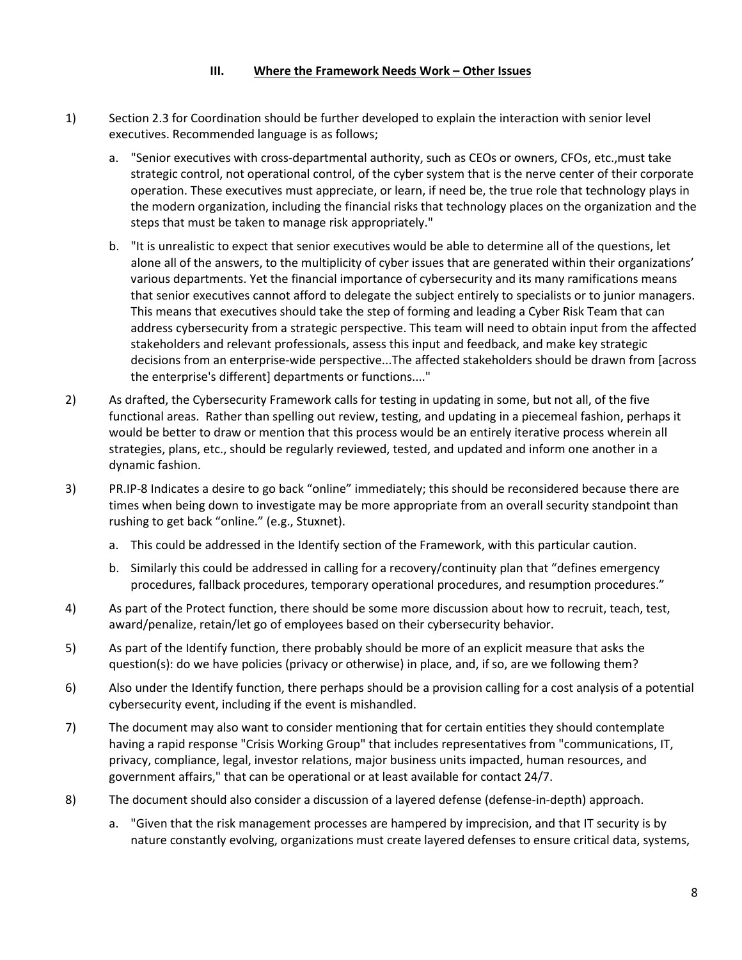#### **III. Where the Framework Needs Work – Other Issues**

- 1) Section 2.3 for Coordination should be further developed to explain the interaction with senior level executives. Recommended language is as follows;
	- a. "Senior executives with cross-departmental authority, such as CEOs or owners, CFOs, etc.,must take strategic control, not operational control, of the cyber system that is the nerve center of their corporate operation. These executives must appreciate, or learn, if need be, the true role that technology plays in the modern organization, including the financial risks that technology places on the organization and the steps that must be taken to manage risk appropriately."
	- b. "It is unrealistic to expect that senior executives would be able to determine all of the questions, let alone all of the answers, to the multiplicity of cyber issues that are generated within their organizations' various departments. Yet the financial importance of cybersecurity and its many ramifications means that senior executives cannot afford to delegate the subject entirely to specialists or to junior managers. This means that executives should take the step of forming and leading a Cyber Risk Team that can address cybersecurity from a strategic perspective. This team will need to obtain input from the affected stakeholders and relevant professionals, assess this input and feedback, and make key strategic decisions from an enterprise-wide perspective...The affected stakeholders should be drawn from [across the enterprise's different] departments or functions...."
- 2) As drafted, the Cybersecurity Framework calls for testing in updating in some, but not all, of the five functional areas. Rather than spelling out review, testing, and updating in a piecemeal fashion, perhaps it would be better to draw or mention that this process would be an entirely iterative process wherein all strategies, plans, etc., should be regularly reviewed, tested, and updated and inform one another in a dynamic fashion.
- 3) PR.IP-8 Indicates a desire to go back "online" immediately; this should be reconsidered because there are times when being down to investigate may be more appropriate from an overall security standpoint than rushing to get back "online." (e.g., Stuxnet).
	- a. This could be addressed in the Identify section of the Framework, with this particular caution.
	- b. Similarly this could be addressed in calling for a recovery/continuity plan that "defines emergency procedures, fallback procedures, temporary operational procedures, and resumption procedures."
- 4) As part of the Protect function, there should be some more discussion about how to recruit, teach, test, award/penalize, retain/let go of employees based on their cybersecurity behavior.
- 5) As part of the Identify function, there probably should be more of an explicit measure that asks the question(s): do we have policies (privacy or otherwise) in place, and, if so, are we following them?
- 6) Also under the Identify function, there perhaps should be a provision calling for a cost analysis of a potential cybersecurity event, including if the event is mishandled.
- 7) The document may also want to consider mentioning that for certain entities they should contemplate having a rapid response "Crisis Working Group" that includes representatives from "communications, IT, privacy, compliance, legal, investor relations, major business units impacted, human resources, and government affairs," that can be operational or at least available for contact 24/7.
- 8) The document should also consider a discussion of a layered defense (defense-in-depth) approach.
	- a. "Given that the risk management processes are hampered by imprecision, and that IT security is by nature constantly evolving, organizations must create layered defenses to ensure critical data, systems,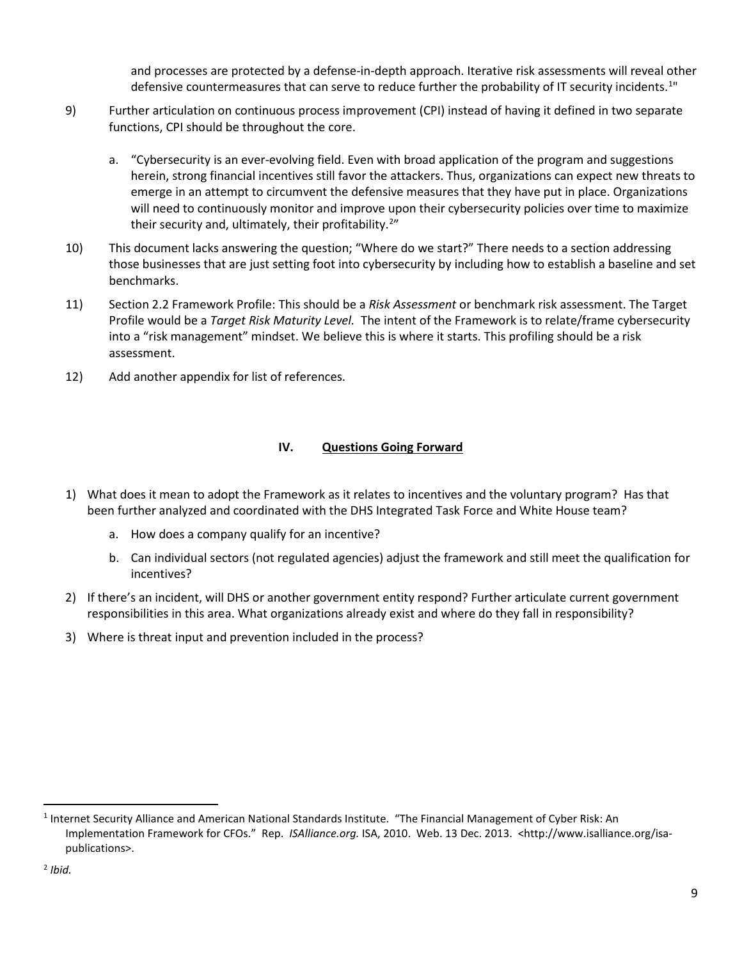and processes are protected by a defense-in-depth approach. Iterative risk assessments will reveal other defensive countermeasures that can serve to reduce further the probability of IT security incidents.<sup>[1](#page-8-0)"</sup>

- 9) Further articulation on continuous process improvement (CPI) instead of having it defined in two separate functions, CPI should be throughout the core.
	- a. "Cybersecurity is an ever-evolving field. Even with broad application of the program and suggestions herein, strong financial incentives still favor the attackers. Thus, organizations can expect new threats to emerge in an attempt to circumvent the defensive measures that they have put in place. Organizations will need to continuously monitor and improve upon their cybersecurity policies over time to maximize their security and, ultimately, their profitability.<sup>[2](#page-8-1)</sup>"
- 10) This document lacks answering the question; "Where do we start?" There needs to a section addressing those businesses that are just setting foot into cybersecurity by including how to establish a baseline and set benchmarks.
- 11) Section 2.2 Framework Profile: This should be a *Risk Assessment* or benchmark risk assessment. The Target Profile would be a *Target Risk Maturity Level.* The intent of the Framework is to relate/frame cybersecurity into a "risk management" mindset. We believe this is where it starts. This profiling should be a risk assessment.
- 12) Add another appendix for list of references.

## **IV. Questions Going Forward**

- 1) What does it mean to adopt the Framework as it relates to incentives and the voluntary program? Has that been further analyzed and coordinated with the DHS Integrated Task Force and White House team?
	- a. How does a company qualify for an incentive?
	- b. Can individual sectors (not regulated agencies) adjust the framework and still meet the qualification for incentives?
- 2) If there's an incident, will DHS or another government entity respond? Further articulate current government responsibilities in this area. What organizations already exist and where do they fall in responsibility?
- 3) Where is threat input and prevention included in the process?

l

<span id="page-8-1"></span><span id="page-8-0"></span><sup>&</sup>lt;sup>1</sup> Internet Security Alliance and American National Standards Institute. "The Financial Management of Cyber Risk: An Implementation Framework for CFOs." Rep. *ISAlliance.org.* ISA, 2010. Web. 13 Dec. 2013. <http://www.isalliance.org/isapublications>.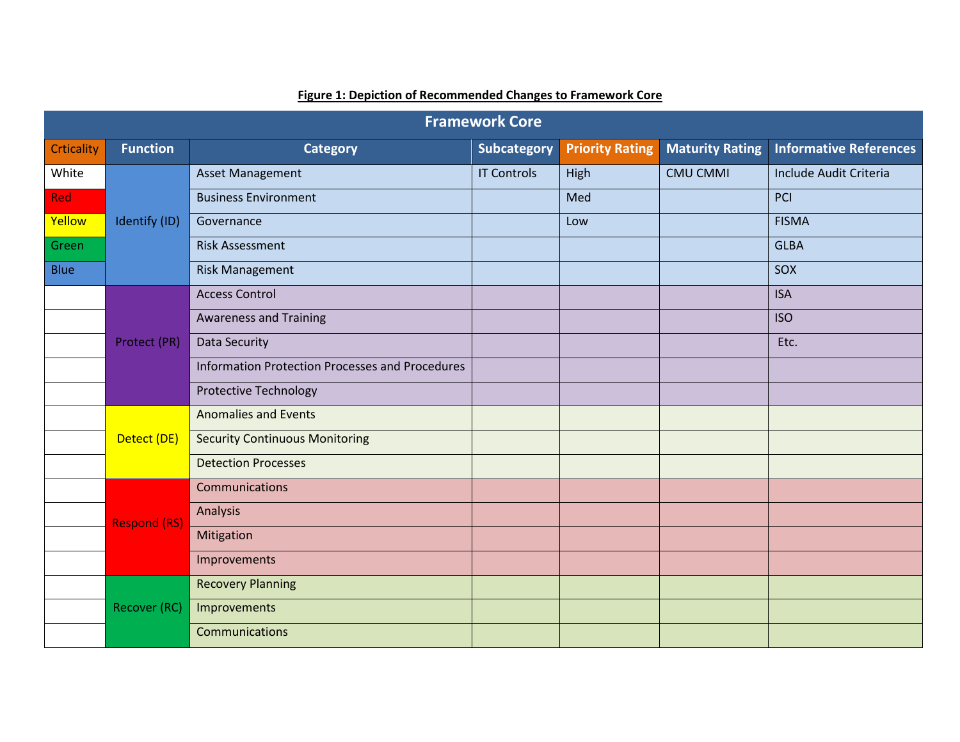| <b>Framework Core</b> |                     |                                                 |                    |                        |                        |                               |  |  |  |
|-----------------------|---------------------|-------------------------------------------------|--------------------|------------------------|------------------------|-------------------------------|--|--|--|
| <b>Crticality</b>     | <b>Function</b>     | <b>Category</b>                                 | <b>Subcategory</b> | <b>Priority Rating</b> | <b>Maturity Rating</b> | <b>Informative References</b> |  |  |  |
| White                 |                     | <b>Asset Management</b>                         | <b>IT Controls</b> | High                   | <b>CMU CMMI</b>        | Include Audit Criteria        |  |  |  |
| Red                   |                     | <b>Business Environment</b>                     |                    | Med                    |                        | PCI                           |  |  |  |
| Yellow                | Identify (ID)       | Governance                                      |                    | Low                    |                        | <b>FISMA</b>                  |  |  |  |
| Green                 |                     | <b>Risk Assessment</b>                          |                    |                        |                        | <b>GLBA</b>                   |  |  |  |
| <b>Blue</b>           |                     | <b>Risk Management</b>                          |                    |                        |                        | SOX                           |  |  |  |
|                       |                     | <b>Access Control</b>                           |                    |                        |                        | <b>ISA</b>                    |  |  |  |
|                       |                     | <b>Awareness and Training</b>                   |                    |                        |                        | <b>ISO</b>                    |  |  |  |
|                       | Protect (PR)        | Data Security                                   |                    |                        |                        | Etc.                          |  |  |  |
|                       |                     | Information Protection Processes and Procedures |                    |                        |                        |                               |  |  |  |
|                       |                     | <b>Protective Technology</b>                    |                    |                        |                        |                               |  |  |  |
|                       |                     | <b>Anomalies and Events</b>                     |                    |                        |                        |                               |  |  |  |
|                       | Detect (DE)         | <b>Security Continuous Monitoring</b>           |                    |                        |                        |                               |  |  |  |
|                       |                     | <b>Detection Processes</b>                      |                    |                        |                        |                               |  |  |  |
|                       |                     | Communications                                  |                    |                        |                        |                               |  |  |  |
|                       | <b>Respond (RS)</b> | Analysis                                        |                    |                        |                        |                               |  |  |  |
|                       |                     | Mitigation                                      |                    |                        |                        |                               |  |  |  |
|                       |                     | Improvements                                    |                    |                        |                        |                               |  |  |  |
|                       |                     | <b>Recovery Planning</b>                        |                    |                        |                        |                               |  |  |  |
|                       | Recover (RC)        | Improvements                                    |                    |                        |                        |                               |  |  |  |
|                       |                     | Communications                                  |                    |                        |                        |                               |  |  |  |

# **Figure 1: Depiction of Recommended Changes to Framework Core**